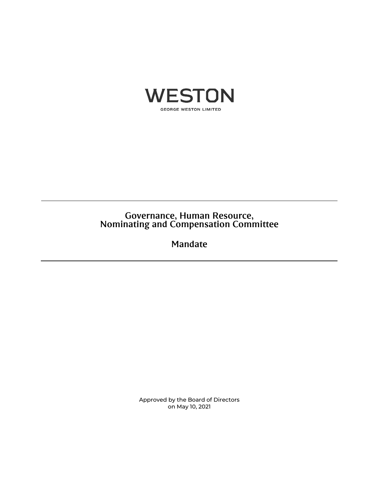

# Governance, Human Resource, Nominating and Compensation Committee

Mandate

Approved by the Board of Directors on May 10, 2021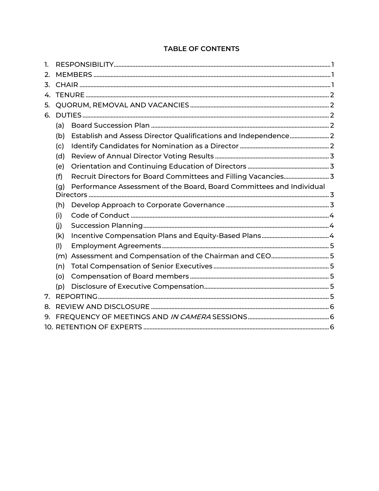## **TABLE OF CONTENTS**

| 1.             |                                                                             |                                                                 |  |  |
|----------------|-----------------------------------------------------------------------------|-----------------------------------------------------------------|--|--|
| 2.             | 3.                                                                          |                                                                 |  |  |
|                |                                                                             |                                                                 |  |  |
| 4.             |                                                                             |                                                                 |  |  |
| 5.             |                                                                             |                                                                 |  |  |
| 6.             |                                                                             |                                                                 |  |  |
|                | (a)                                                                         |                                                                 |  |  |
|                | (b)                                                                         | Establish and Assess Director Qualifications and Independence 2 |  |  |
|                | (c)                                                                         |                                                                 |  |  |
|                | (d)                                                                         |                                                                 |  |  |
|                | (e)                                                                         |                                                                 |  |  |
|                | (f)                                                                         |                                                                 |  |  |
| 7.<br>8.<br>9. | Performance Assessment of the Board, Board Committees and Individual<br>(g) |                                                                 |  |  |
|                | (h)                                                                         |                                                                 |  |  |
|                | (i)                                                                         |                                                                 |  |  |
|                | (i)                                                                         |                                                                 |  |  |
|                | (k)                                                                         |                                                                 |  |  |
|                | (1)                                                                         |                                                                 |  |  |
|                | (m)                                                                         |                                                                 |  |  |
|                | (n)                                                                         |                                                                 |  |  |
|                | (o)                                                                         |                                                                 |  |  |
|                | (p)                                                                         |                                                                 |  |  |
|                |                                                                             |                                                                 |  |  |
|                |                                                                             |                                                                 |  |  |
|                |                                                                             |                                                                 |  |  |
|                |                                                                             |                                                                 |  |  |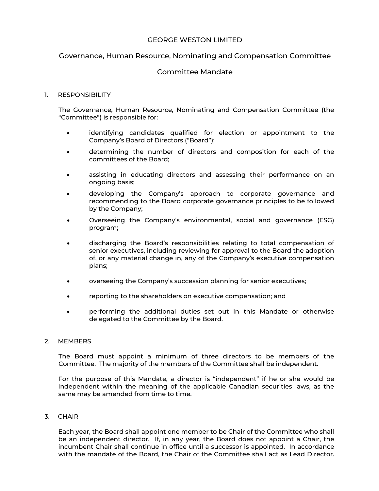## GEORGE WESTON LIMITED

## Governance, Human Resource, Nominating and Compensation Committee

## Committee Mandate

#### 1. RESPONSIBILITY

The Governance, Human Resource, Nominating and Compensation Committee (the "Committee") is responsible for:

- identifying candidates qualified for election or appointment to the Company's Board of Directors ("Board");
- determining the number of directors and composition for each of the committees of the Board;
- assisting in educating directors and assessing their performance on an ongoing basis;
- developing the Company's approach to corporate governance and recommending to the Board corporate governance principles to be followed by the Company;
- Overseeing the Company's environmental, social and governance (ESG) program;
- discharging the Board's responsibilities relating to total compensation of senior executives, including reviewing for approval to the Board the adoption of, or any material change in, any of the Company's executive compensation plans;
- overseeing the Company's succession planning for senior executives;
- reporting to the shareholders on executive compensation; and
- performing the additional duties set out in this Mandate or otherwise delegated to the Committee by the Board.

#### 2. MEMBERS

The Board must appoint a minimum of three directors to be members of the Committee. The majority of the members of the Committee shall be independent.

For the purpose of this Mandate, a director is "independent" if he or she would be independent within the meaning of the applicable Canadian securities laws, as the same may be amended from time to time.

#### 3. CHAIR

Each year, the Board shall appoint one member to be Chair of the Committee who shall be an independent director. If, in any year, the Board does not appoint a Chair, the incumbent Chair shall continue in office until a successor is appointed. In accordance with the mandate of the Board, the Chair of the Committee shall act as Lead Director.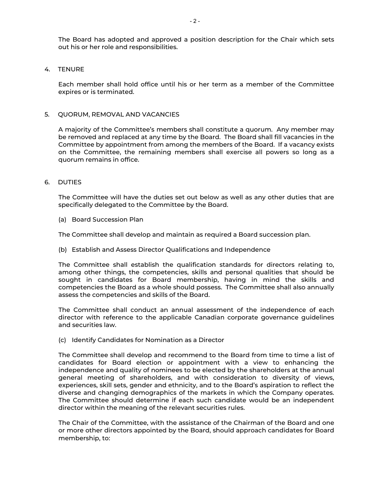The Board has adopted and approved a position description for the Chair which sets out his or her role and responsibilities.

#### 4. TENURE

Each member shall hold office until his or her term as a member of the Committee expires or is terminated.

#### 5. QUORUM, REMOVAL AND VACANCIES

A majority of the Committee's members shall constitute a quorum. Any member may be removed and replaced at any time by the Board. The Board shall fill vacancies in the Committee by appointment from among the members of the Board. If a vacancy exists on the Committee, the remaining members shall exercise all powers so long as a quorum remains in office.

#### 6. DUTIES

The Committee will have the duties set out below as well as any other duties that are specifically delegated to the Committee by the Board.

(a) Board Succession Plan

The Committee shall develop and maintain as required a Board succession plan.

(b) Establish and Assess Director Qualifications and Independence

The Committee shall establish the qualification standards for directors relating to, among other things, the competencies, skills and personal qualities that should be sought in candidates for Board membership, having in mind the skills and competencies the Board as a whole should possess. The Committee shall also annually assess the competencies and skills of the Board.

The Committee shall conduct an annual assessment of the independence of each director with reference to the applicable Canadian corporate governance guidelines and securities law.

(c) Identify Candidates for Nomination as a Director

The Committee shall develop and recommend to the Board from time to time a list of candidates for Board election or appointment with a view to enhancing the independence and quality of nominees to be elected by the shareholders at the annual general meeting of shareholders, and with consideration to diversity of views, experiences, skill sets, gender and ethnicity, and to the Board's aspiration to reflect the diverse and changing demographics of the markets in which the Company operates. The Committee should determine if each such candidate would be an independent director within the meaning of the relevant securities rules.

The Chair of the Committee, with the assistance of the Chairman of the Board and one or more other directors appointed by the Board, should approach candidates for Board membership, to: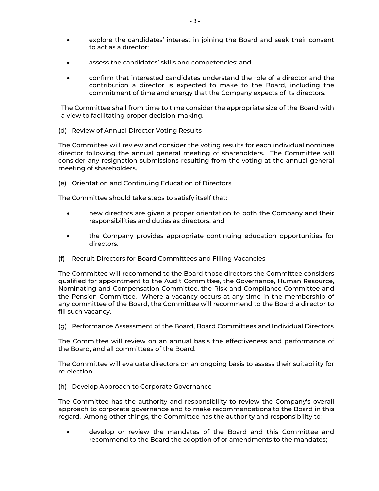- explore the candidates' interest in joining the Board and seek their consent to act as a director;
- assess the candidates' skills and competencies; and
- confirm that interested candidates understand the role of a director and the contribution a director is expected to make to the Board, including the commitment of time and energy that the Company expects of its directors.

The Committee shall from time to time consider the appropriate size of the Board with a view to facilitating proper decision-making.

(d) Review of Annual Director Voting Results

The Committee will review and consider the voting results for each individual nominee director following the annual general meeting of shareholders. The Committee will consider any resignation submissions resulting from the voting at the annual general meeting of shareholders.

(e) Orientation and Continuing Education of Directors

The Committee should take steps to satisfy itself that:

- new directors are given a proper orientation to both the Company and their responsibilities and duties as directors; and
- the Company provides appropriate continuing education opportunities for directors.
- (f) Recruit Directors for Board Committees and Filling Vacancies

The Committee will recommend to the Board those directors the Committee considers qualified for appointment to the Audit Committee, the Governance, Human Resource, Nominating and Compensation Committee, the Risk and Compliance Committee and the Pension Committee. Where a vacancy occurs at any time in the membership of any committee of the Board, the Committee will recommend to the Board a director to fill such vacancy.

(g) Performance Assessment of the Board, Board Committees and Individual Directors

The Committee will review on an annual basis the effectiveness and performance of the Board, and all committees of the Board.

The Committee will evaluate directors on an ongoing basis to assess their suitability for re-election.

(h) Develop Approach to Corporate Governance

The Committee has the authority and responsibility to review the Company's overall approach to corporate governance and to make recommendations to the Board in this regard. Among other things, the Committee has the authority and responsibility to:

• develop or review the mandates of the Board and this Committee and recommend to the Board the adoption of or amendments to the mandates;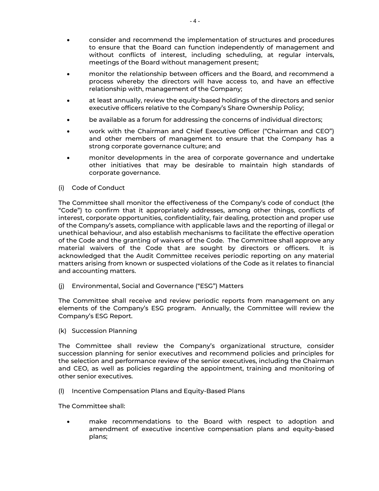- consider and recommend the implementation of structures and procedures to ensure that the Board can function independently of management and without conflicts of interest, including scheduling, at regular intervals, meetings of the Board without management present;
- monitor the relationship between officers and the Board, and recommend a process whereby the directors will have access to, and have an effective relationship with, management of the Company;
- at least annually, review the equity-based holdings of the directors and senior executive officers relative to the Company's Share Ownership Policy;
- be available as a forum for addressing the concerns of individual directors;
- work with the Chairman and Chief Executive Officer ("Chairman and CEO") and other members of management to ensure that the Company has a strong corporate governance culture; and
- monitor developments in the area of corporate governance and undertake other initiatives that may be desirable to maintain high standards of corporate governance.

### (i) Code of Conduct

The Committee shall monitor the effectiveness of the Company's code of conduct (the "Code") to confirm that it appropriately addresses, among other things, conflicts of interest, corporate opportunities, confidentiality, fair dealing, protection and proper use of the Company's assets, compliance with applicable laws and the reporting of illegal or unethical behaviour, and also establish mechanisms to facilitate the effective operation of the Code and the granting of waivers of the Code. The Committee shall approve any material waivers of the Code that are sought by directors or officers. It is acknowledged that the Audit Committee receives periodic reporting on any material matters arising from known or suspected violations of the Code as it relates to financial and accounting matters.

(j) Environmental, Social and Governance ("ESG") Matters

The Committee shall receive and review periodic reports from management on any elements of the Company's ESG program. Annually, the Committee will review the Company's ESG Report.

(k) Succession Planning

The Committee shall review the Company's organizational structure, consider succession planning for senior executives and recommend policies and principles for the selection and performance review of the senior executives, including the Chairman and CEO, as well as policies regarding the appointment, training and monitoring of other senior executives.

(l) Incentive Compensation Plans and Equity-Based Plans

The Committee shall:

• make recommendations to the Board with respect to adoption and amendment of executive incentive compensation plans and equity-based plans;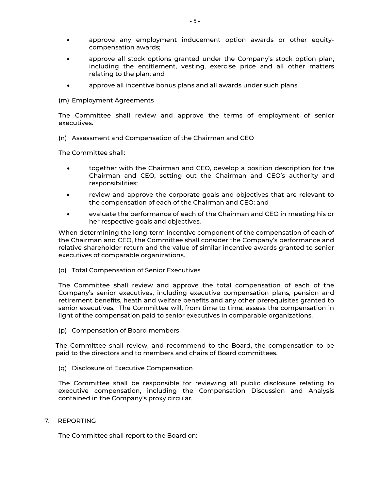- approve any employment inducement option awards or other equitycompensation awards;
- approve all stock options granted under the Company's stock option plan, including the entitlement, vesting, exercise price and all other matters relating to the plan; and
- approve all incentive bonus plans and all awards under such plans.

#### (m) Employment Agreements

The Committee shall review and approve the terms of employment of senior executives.

(n) Assessment and Compensation of the Chairman and CEO

The Committee shall:

- together with the Chairman and CEO, develop a position description for the Chairman and CEO, setting out the Chairman and CEO's authority and responsibilities;
- review and approve the corporate goals and objectives that are relevant to the compensation of each of the Chairman and CEO; and
- evaluate the performance of each of the Chairman and CEO in meeting his or her respective goals and objectives.

When determining the long-term incentive component of the compensation of each of the Chairman and CEO, the Committee shall consider the Company's performance and relative shareholder return and the value of similar incentive awards granted to senior executives of comparable organizations.

(o) Total Compensation of Senior Executives

The Committee shall review and approve the total compensation of each of the Company's senior executives, including executive compensation plans, pension and retirement benefits, heath and welfare benefits and any other prerequisites granted to senior executives. The Committee will, from time to time, assess the compensation in light of the compensation paid to senior executives in comparable organizations.

(p) Compensation of Board members

The Committee shall review, and recommend to the Board, the compensation to be paid to the directors and to members and chairs of Board committees.

(q) Disclosure of Executive Compensation

The Committee shall be responsible for reviewing all public disclosure relating to executive compensation, including the Compensation Discussion and Analysis contained in the Company's proxy circular.

7. REPORTING

The Committee shall report to the Board on: